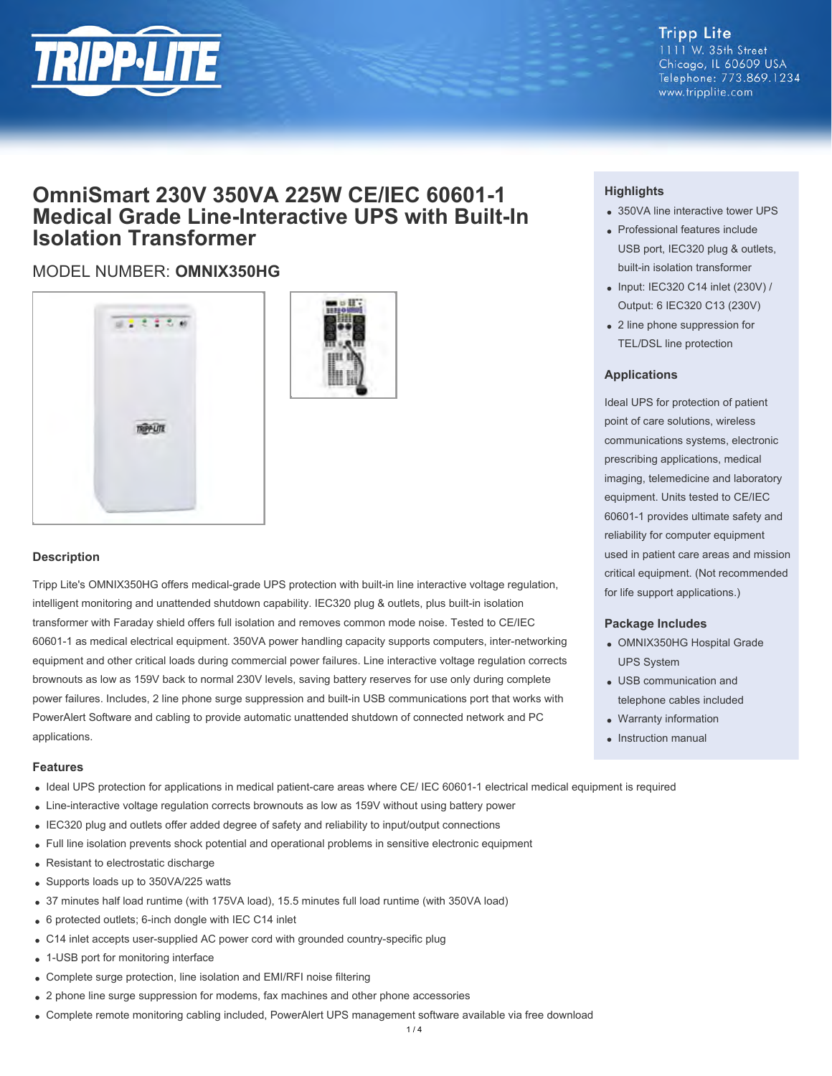

## **Tripp Lite** 1111 W. 35th Street

Chicago, IL 60609 USA Telephone: 773.869.1234 www.tripplite.com

# **OmniSmart 230V 350VA 225W CE/IEC 60601-1 Medical Grade Line-Interactive UPS with Built-In Isolation Transformer**

## MODEL NUMBER: **OMNIX350HG**





#### **Description**

Tripp Lite's OMNIX350HG offers medical-grade UPS protection with built-in line interactive voltage regulation, intelligent monitoring and unattended shutdown capability. IEC320 plug & outlets, plus built-in isolation transformer with Faraday shield offers full isolation and removes common mode noise. Tested to CE/IEC 60601-1 as medical electrical equipment. 350VA power handling capacity supports computers, inter-networking equipment and other critical loads during commercial power failures. Line interactive voltage regulation corrects brownouts as low as 159V back to normal 230V levels, saving battery reserves for use only during complete power failures. Includes, 2 line phone surge suppression and built-in USB communications port that works with PowerAlert Software and cabling to provide automatic unattended shutdown of connected network and PC applications.

#### **Features**

- Ideal UPS protection for applications in medical patient-care areas where CE/ IEC 60601-1 electrical medical equipment is required
- Line-interactive voltage regulation corrects brownouts as low as 159V without using battery power
- IEC320 plug and outlets offer added degree of safety and reliability to input/output connections
- Full line isolation prevents shock potential and operational problems in sensitive electronic equipment
- Resistant to electrostatic discharge
- Supports loads up to 350VA/225 watts
- 37 minutes half load runtime (with 175VA load), 15.5 minutes full load runtime (with 350VA load)
- 6 protected outlets; 6-inch dongle with IEC C14 inlet
- C14 inlet accepts user-supplied AC power cord with grounded country-specific plug
- 1-USB port for monitoring interface
- Complete surge protection, line isolation and EMI/RFI noise filtering
- 2 phone line surge suppression for modems, fax machines and other phone accessories
- Complete remote monitoring cabling included, PowerAlert UPS management software available via free download

#### **Highlights**

- 350VA line interactive tower UPS
- Professional features include USB port, IEC320 plug & outlets, built-in isolation transformer
- $\bullet$  Input: IEC320 C14 inlet (230V) / Output: 6 IEC320 C13 (230V)
- 2 line phone suppression for TEL/DSL line protection

#### **Applications**

Ideal UPS for protection of patient point of care solutions, wireless communications systems, electronic prescribing applications, medical imaging, telemedicine and laboratory equipment. Units tested to CE/IEC 60601-1 provides ultimate safety and reliability for computer equipment used in patient care areas and mission critical equipment. (Not recommended for life support applications.)

#### **Package Includes**

- OMNIX350HG Hospital Grade UPS System
- USB communication and telephone cables included
- Warranty information
- Instruction manual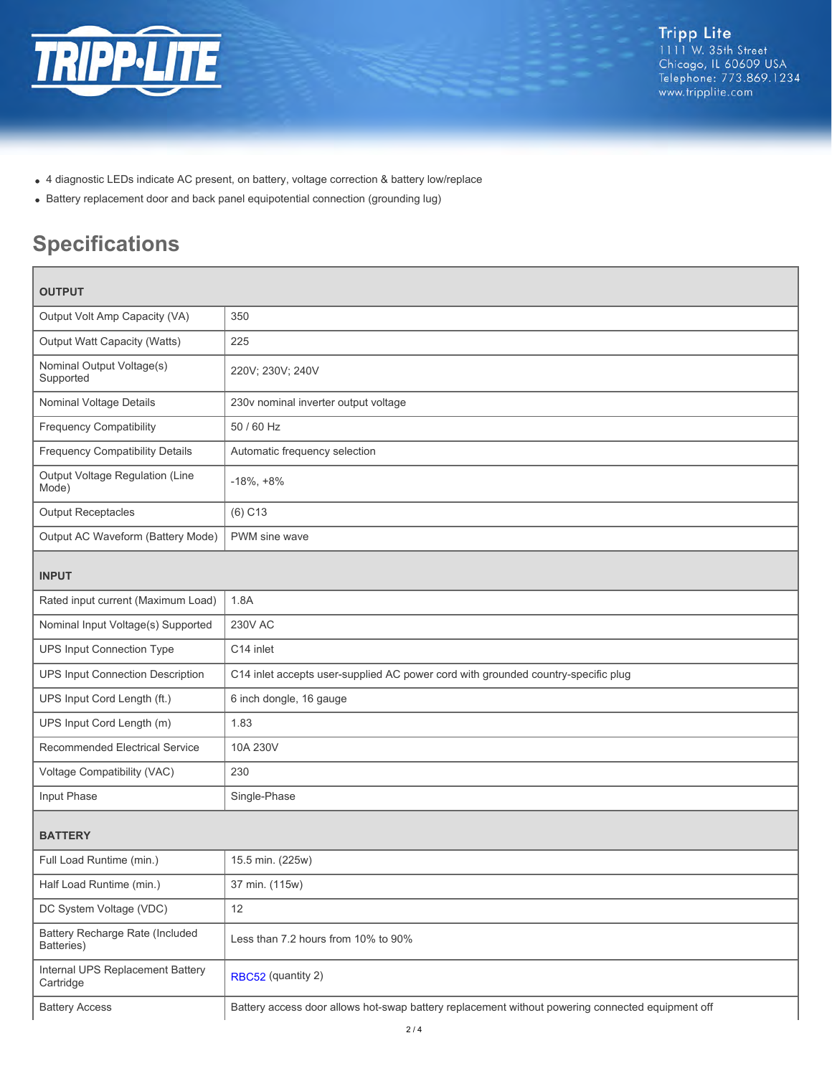

- 4 diagnostic LEDs indicate AC present, on battery, voltage correction & battery low/replace
- Battery replacement door and back panel equipotential connection (grounding lug)

# **Specifications**

| <b>OUTPUT</b>                                 |                                                                                                  |  |
|-----------------------------------------------|--------------------------------------------------------------------------------------------------|--|
| Output Volt Amp Capacity (VA)                 | 350                                                                                              |  |
| Output Watt Capacity (Watts)                  | 225                                                                                              |  |
| Nominal Output Voltage(s)<br>Supported        | 220V; 230V; 240V                                                                                 |  |
| Nominal Voltage Details                       | 230v nominal inverter output voltage                                                             |  |
| <b>Frequency Compatibility</b>                | 50 / 60 Hz                                                                                       |  |
| <b>Frequency Compatibility Details</b>        | Automatic frequency selection                                                                    |  |
| Output Voltage Regulation (Line<br>Mode)      | $-18\%, +8\%$                                                                                    |  |
| <b>Output Receptacles</b>                     | $(6)$ C <sub>13</sub>                                                                            |  |
| Output AC Waveform (Battery Mode)             | PWM sine wave                                                                                    |  |
| <b>INPUT</b>                                  |                                                                                                  |  |
| Rated input current (Maximum Load)            | 1.8A                                                                                             |  |
| Nominal Input Voltage(s) Supported            | <b>230V AC</b>                                                                                   |  |
| <b>UPS Input Connection Type</b>              | C14 inlet                                                                                        |  |
| <b>UPS Input Connection Description</b>       | C14 inlet accepts user-supplied AC power cord with grounded country-specific plug                |  |
| UPS Input Cord Length (ft.)                   | 6 inch dongle, 16 gauge                                                                          |  |
| UPS Input Cord Length (m)                     | 1.83                                                                                             |  |
| Recommended Electrical Service                | 10A 230V                                                                                         |  |
| Voltage Compatibility (VAC)                   | 230                                                                                              |  |
| Input Phase                                   | Single-Phase                                                                                     |  |
| <b>BATTERY</b>                                |                                                                                                  |  |
| Full Load Runtime (min.)                      | 15.5 min. (225w)                                                                                 |  |
| Half Load Runtime (min.)                      | 37 min. (115w)                                                                                   |  |
| DC System Voltage (VDC)                       | 12                                                                                               |  |
| Battery Recharge Rate (Included<br>Batteries) | Less than 7.2 hours from 10% to 90%                                                              |  |
| Internal UPS Replacement Battery<br>Cartridge | RBC52 (quantity 2)                                                                               |  |
| <b>Battery Access</b>                         | Battery access door allows hot-swap battery replacement without powering connected equipment off |  |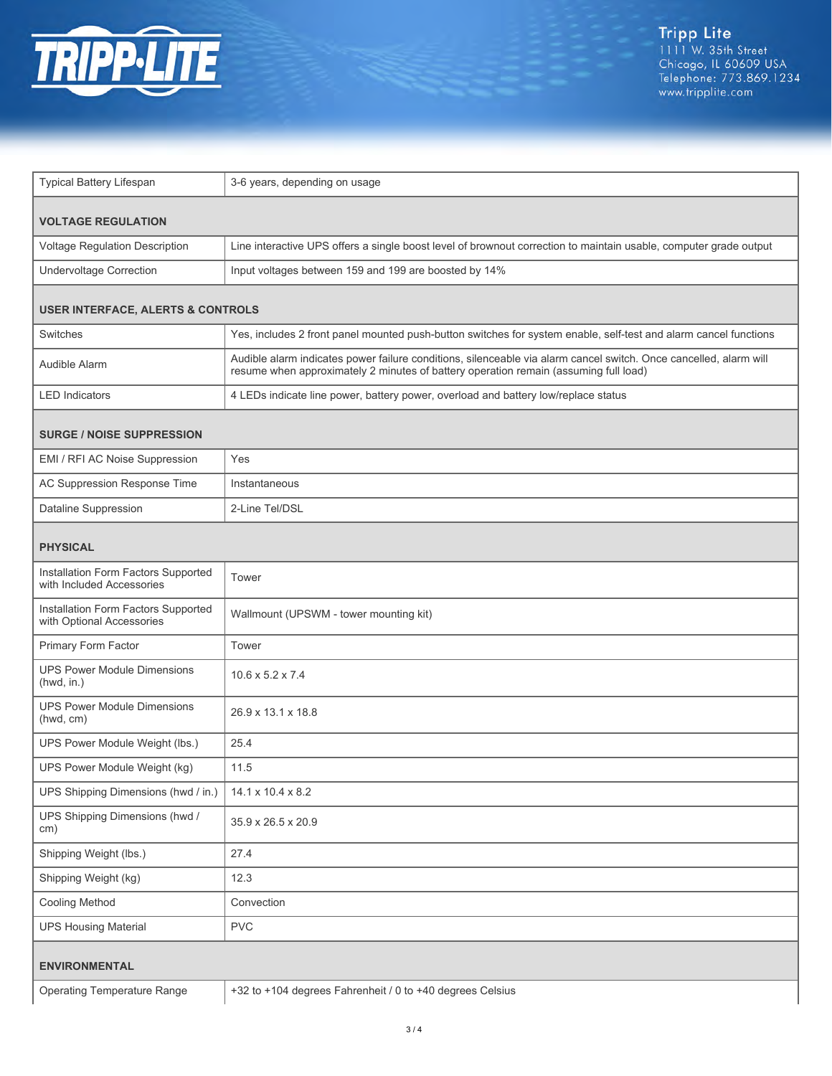

| Typical Battery Lifespan                                         | 3-6 years, depending on usage                                                                                                                                                                             |  |
|------------------------------------------------------------------|-----------------------------------------------------------------------------------------------------------------------------------------------------------------------------------------------------------|--|
| <b>VOLTAGE REGULATION</b>                                        |                                                                                                                                                                                                           |  |
| Voltage Regulation Description                                   | Line interactive UPS offers a single boost level of brownout correction to maintain usable, computer grade output                                                                                         |  |
| <b>Undervoltage Correction</b>                                   | Input voltages between 159 and 199 are boosted by 14%                                                                                                                                                     |  |
| <b>USER INTERFACE, ALERTS &amp; CONTROLS</b>                     |                                                                                                                                                                                                           |  |
| <b>Switches</b>                                                  | Yes, includes 2 front panel mounted push-button switches for system enable, self-test and alarm cancel functions                                                                                          |  |
| Audible Alarm                                                    | Audible alarm indicates power failure conditions, silenceable via alarm cancel switch. Once cancelled, alarm will<br>resume when approximately 2 minutes of battery operation remain (assuming full load) |  |
| <b>LED</b> Indicators                                            | 4 LEDs indicate line power, battery power, overload and battery low/replace status                                                                                                                        |  |
| <b>SURGE / NOISE SUPPRESSION</b>                                 |                                                                                                                                                                                                           |  |
| EMI / RFI AC Noise Suppression                                   | Yes                                                                                                                                                                                                       |  |
| AC Suppression Response Time                                     | Instantaneous                                                                                                                                                                                             |  |
| Dataline Suppression                                             | 2-Line Tel/DSL                                                                                                                                                                                            |  |
| <b>PHYSICAL</b>                                                  |                                                                                                                                                                                                           |  |
| Installation Form Factors Supported<br>with Included Accessories | Tower                                                                                                                                                                                                     |  |
| Installation Form Factors Supported<br>with Optional Accessories | Wallmount (UPSWM - tower mounting kit)                                                                                                                                                                    |  |
| Primary Form Factor                                              | Tower                                                                                                                                                                                                     |  |
| <b>UPS Power Module Dimensions</b><br>(hwd, in.)                 | $10.6 \times 5.2 \times 7.4$                                                                                                                                                                              |  |
| <b>UPS Power Module Dimensions</b><br>(hwd, cm)                  | 26.9 x 13.1 x 18.8                                                                                                                                                                                        |  |
| UPS Power Module Weight (lbs.)                                   | 25.4                                                                                                                                                                                                      |  |
| UPS Power Module Weight (kg)                                     | 11.5                                                                                                                                                                                                      |  |
| UPS Shipping Dimensions (hwd / in.)                              | 14.1 x 10.4 x 8.2                                                                                                                                                                                         |  |
| UPS Shipping Dimensions (hwd /<br>cm)                            | 35.9 x 26.5 x 20.9                                                                                                                                                                                        |  |
| Shipping Weight (lbs.)                                           | 27.4                                                                                                                                                                                                      |  |
| Shipping Weight (kg)                                             | 12.3                                                                                                                                                                                                      |  |
| Cooling Method                                                   | Convection                                                                                                                                                                                                |  |
| <b>UPS Housing Material</b>                                      | <b>PVC</b>                                                                                                                                                                                                |  |
| <b>ENVIRONMENTAL</b>                                             |                                                                                                                                                                                                           |  |
| <b>Operating Temperature Range</b>                               | +32 to +104 degrees Fahrenheit / 0 to +40 degrees Celsius                                                                                                                                                 |  |